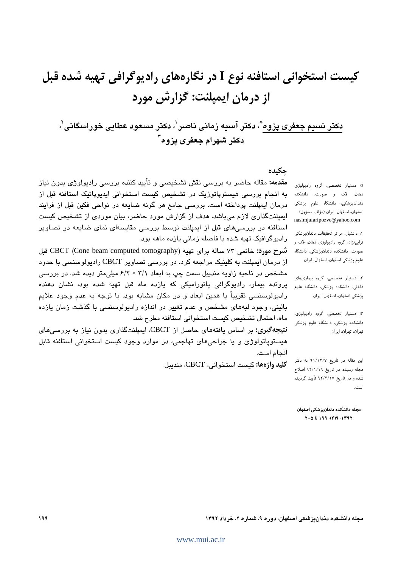کیست استخوانی استافنه نوع I در نگارههای رادیوگرافی تهیه شده قبل از درمان ایمیلنت: گزارش مورد

دكتر نسيم جعفرى پزوه"، دكتر آسيه زمانى ناصر ٰ، دكتر مسعود عطايى خوراسگانى'، دکتر شهرام جعفری یزوه<sup>۳</sup>

حكىدە

**مقدمه:** مقاله حاضر به بررسی نقش تشخیصی و تأیید کننده بررسی رادیولوژی بدون نیاز به انجام بررسی هیستوپاتوژیک در تشخیص کیست استخوانی ایدیوپاتیک استافنه قبل از درمان ایمپلنت پرداخته است. بررسی جامع هر گونه ضایعه در نواحی فکین قبل از فرایند ایمپلنتگذاری لازم میباشد. هدف از گزارش مورد حاضر، بیان موردی از تشخیص کیست استافنه در بررسیهای قبل از ایمپلنت توسط بررسی مقایسهای نمای ضایعه در تصاویر رادیوگرافیک تهیه شده با فاصله زمانی یازده ماهه بود.

شرح مورد: خانمی ۷۳ ساله برای تهیه (CBCT (Cone beam computed tomography قبل از درمان ایمیلنت به کلینیک مراجعه کرد. در بررسی تصاویر CBCT رادیولوسنسی با حدود مشخص در ناحیه زاویه مندیبل سمت چپ به ابعاد ۳/۱ × ۶/۲ میلی متر دیده شد. در بررسی پرونده بیمار، رادیوگرافی پانورامیکی که یازده ماه قبل تهیه شده بود، نشان دهنده رادیولوسنسی تقریباً با همین ابعاد و در مکان مشابه بود. با توجه به عدم وجود علایم بالینی، وجود لبههای مشخص و عدم تغییر در اندازه رادیولوسنسی با گذشت زمان یازده ماه، احتمال تشخيص كيست استخواني استافنه مطرح شد.

**نتیجهگیری:** بر اساس یافتههای حاصل از CBCT، ایمیلنتگذاری بدون نیاز به بررسه های هیستوپاتولوژی و یا جراحیهای تهاجمی، در موارد وجود کیست استخوانی استافنه قابل انجام است.

كليد واژهها: كست استخواني، CBCT، منديبل

\* دستیار تخصصی، گروه رادیولوژی دهان، فک و صورت، دانشکده دندانپزشکی، دانشگاه علوم پزشکی اصفهان، اصفهان، ایران (مؤلف مسؤول) nasimjafaripozve@yahoo.com

١: دانشیار، مركز تحقیقات دندانپزشكى ترابى نژاد، گروه راديولوژى دهان، فک و صورت، دانشکده دندانپزشکی، دانشگاه علوم پزشکی اصفهان، اصفهان، ایران

۲: دستیار تخصصی، گروه بیماریهای داخلی، دانشکده پزشکی، دانشگاه علوم پزشکی اصفهان، اصفهان، ایران

٣. دستيار تخصصى، گروه راديولوژى، دانشکده پزشکی، دانشگاه علوم پزشکی تهران، تهران، ایران

این مقاله در تاریخ ۹۱/۱۲/۷ به دفتر مجله رسیده، در تاریخ ۹۲/۱/۱۹ اصلاح شده و در تاریخ ۹۲/۲/۱۷ تأیید گردیده اسٹ.

مجله دانشكده دندانيزشكي اصفهان  $Y - 0 U 199. (Y)9.1 Y 9Y$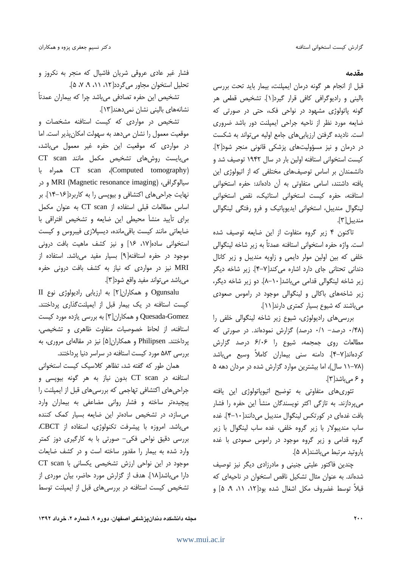### مقدمه

قبل از انجام هر گونه درمان ایمپلنت، بیمار باید تحت بررسی باليني و راديوگرافي كافي قرار گيرد[۱]. تشخيص قطعي هر گونه پاتولوژی مشهود در نواحی فک، حتی در صورتی که ضایعه مورد نظر از ناحیه جراحی ایمپلنت دور باشد ضروری است. نادیده گرفتن ارزیابی های جامع اولیه می تواند به شکست در درمان و نیز مسؤولیتهای پزشکی قانونی منجر شود[۲]. کیست استخوانی استافنه اولین بار در سال ۱۹۴۲ توصیف شد و دانشمندان بر اساس توصیفهای مختلفی که از اتیولوژی این یافته داشتند، اسامی متفاوتی به آن دادهاند: حفره استخوانی استافنه، حفره کیست استخوانی استاتیک، نقص استخوانی لینگوال مندیبل، استخوانی ایدیوپاتیک و فرو رفتگی لینگوالی منديبل[٣].

تاکنون ۴ زیر گروه متفاوت از این ضایعه توصیف شده است. واژه حفره استخواني استافنه عمدتاً به زير شاخه لينگوالي خلفی که بین اولین مولر دایمی و زاویه مندیبل و زیر کانال دندانی تحتانی جای دارد اشاره می کند[۷–۴]. زیر شاخه دیگر زیر شاخه لینگوالی قدامی می باشد[۱۰-۸]. دو زیر شاخه دیگر، زیر شاخههای باکالی و لینگوالی موجود در راموس صعودی می باشند که شیوع بسیار کمتری دارند[۱۱].

بررسی های رادیولوژی، شیوع زیر شاخه لینگوالی خلفی را (۰/۴۸ درصد- ۰/۱ درصد) گزارش نمودهاند. در صورتی که مطالعات روی جمجمه، شیوع را ۶/۰۶ درصد گزارش کردهاند[۷–۴]. دامنه سنی بیماران کاملاً وسیع میباشد (۷۸–۱۱ سال)، اما بیشترین موارد گزارش شده در مردان دهه ۵ و ۶ می باشد [۳].

تئوری های متفاوتی به توضیح اتیوپاتولوژی این یافته میپردازند. به تازگی اکثر نویسندگان منشأ این حفره را فشار بافت غدهای در کورتکس لینگوال مندیبل میدانند[ ۱۰-۴]. غده ساب مندیبولار با زیر گروه خلفی، غده ساب لینگوال با زیر گروه قدامی و زیر گروه موجود در راموس صعودی با غده پاروتيد مرتبط ميباشند[٨، ۵].

چندین فاکتور علیتی جنینی و مادرزادی دیگر نیز توصیف شدهاند. به عنوان مثال تشکیل ناقص استخوان در ناحیهای که قبلاً توسط غضروف مكل اشغال شده بود[۱۲، ۸۱، ۹، ۵] و

فشار غیر عادی عروقی شریان فاشیال که منجر به نکروز و تحلیل استخوان مجاور می گردد[ ١٢، ١١، ٩، ٧، ۵].

تشخیص این حفره تصادفی میباشد چرا که بیماران عمدتاً نشانههای بالینی نشان نمیدهند[۱۳].

تشخیص در مواردی که کیست استافنه مشخصات و موقعیت معمول را نشان میدهد به سهولت امکانپذیر است. اما در مواردی که موقعیت این حفره غیر معمول میباشد، میبایست روشهای تشخیص مکمل مانند CT scan (Computed tomography)، CT scan (Computed tomography سيالوگرافي، MRI (Magnetic resonance imaging) و در نهایت جراحیهای اکتشافی و بیوپسی را به کاربرد[۱۶-۱۴]. بر اساس مطالعات قبلى استفاده از CT scan به عنوان مكمل برای تأیید منشأ محیطی این ضایعه و تشخیص افتراقی با ضایعاتی مانند کیست باقی مانده، دیسپلازی فیبروس و کیست استخوانی ساده[۱۷، ۱۶] و نیز کشف ماهیت بافت درونی موجود در حفره استافنه[۹] بسیار مفید میباشد. استفاده از MRI نیز در مواردی که نیاز به کشف بافت درونی حفره مي باشد مي تواند مفيد واقع شود[٣].

Ogunsalu و همکاران[۲] به ارزیابی رادیولوژی نوع II کیست استافنه در یک بیمار قبل از ایمپلنتگذاری پرداختند. Quesada-Gomez و همکاران[۳] به بررسی یازده مورد کیست استافنه، از لحاظ خصوصیات متفاوت ظاهری و تشخیصی، پرداختند. Philipsen و همکاران[۵] نیز در مقالهای مروری، به بررسی ۵۸۳ مورد کیست استافنه در سراسر دنیا پرداختند.

همان طور که گفته شد، تظاهر کلاسیک کیست استخوانی استافنه در CT scan بدون نیاز به هر گونه بیوپسی و جراحی های اکتشافی تهاجمی که بررسی های قبل از ایمپلنت را پیچیدهتر ساخته و فشار روانی مضاعفی به بیماران وارد می سازد، در تشخیص سادهتر این ضایعه بسیار کمک کننده میباشد. امروزه با پیشرفت تکنولوژی، استفاده از CBCT، بررسی دقیق نواحی فکی– صورتی با به کارگیری دوز کمتر وارد شده به بیمار را مقدور ساخته است و در کشف ضایعات موجود در این نواحی ارزش تشخیصی یکسانی با CT scan دارا میباشد[١٨]. هدف از گزارش مورد حاضر، بیان موردی از تشخیص کیست استافنه در بررسی های قبل از ایمپلنت توسط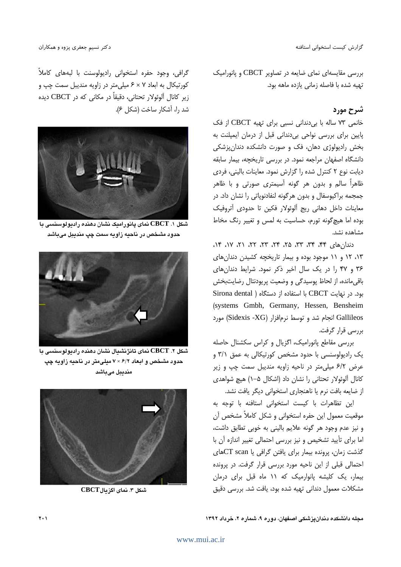گزارش كيست استخوانى استافنه

دکتر نسیم جعفری پزوه و همکاران

بررسی مقایسهای نمای ضایعه در تصاویر CBCT و پانورامیک تهيه شده با فاصله زماني يازده ماهه بود.

# شرح مورد

خانمی ۷۳ ساله با بی دندانی نسبی برای تهیه CBCT از فک پایین برای بررسی نواحی بی دندانی قبل از درمان ایمپلنت به بخش رادیولوژی دهان، فک و صورت دانشکده دندانپزشکی دانشگاه اصفهان مراجعه نمود. در بررسی تاریخچه، بیمار سابقه دیابت نوع ۲ کنترل شده را گزارش نمود. معاینات بالینی، فردی ظاهراً سالم و بدون هر گونه آسیمتری صورتی و با ظاهر جمجمه براکیوسفال و بدون هر گونه لنفادنویاتی را نشان داد. در معاينات داخل دهاني ريج آلوئولار فكين تا حدودى آتروفيك بوده اما هیچگونه تورم، حساسیت به لمس و تغییر رنگ مخاط مشاهده نشد.

دندان های ۴۴، ۳۴، ۳۳، ۲۵، ۲۴، ۳۲، ۲۲، ۲۱، ۱۲، ۴۱، ١٣، ١٢ و ١١ موجود بوده و بيمار تاريخچه كشيدن دندان هاى ۳۶ و ۴۷ را در یک سال اخیر ذکر نمود. شرایط دندان های باقی مانده، از لحاظ پوسیدگی و وضعیت پریودنتال رضایتبخش بود. در نهایت CBCT با استفاده از دستگاه ( Sirona dental (systems Gmbh, Germany, Hessen, Bensheim Gallileos انجام شد و توسط نرمافزار (Sidexis -XG) مورد بررسے قرار گرفت.

بررسی مقاطع یانورامیک، اگزیال و کراس سکشنال حاصله یک رادیولوسنسی با حدود مشخص کورتیکالی به عمق ۳/۱ و عرض ۶/۲ میلی متر در ناحیه زاویه مندیبل سمت چپ و زیر کانال آلوئولار تحتانی را نشان داد (اشکال ۵−۱) هیچ شواهدی از ضایعه بافت نرم یا ناهنجاری استخوانی دیگر یافت نشد.

این تظاهرات با کیست استخوانی استافنه با توجه به موقعیت معمول این حفره استخوانی و شکل کاملاً مشخص آن و نیز عدم وجود هر گونه علایم بالینی به خوبی تطابق داشت، اما برای تأیید تشخیص و نیز بررسی احتمالی تغییر اندازه آن با گذشت زمان، پرونده بیمار برای یافتن گرافی یا CT scanهای احتمالی قبلی از این ناحیه مورد بررسی قرار گرفت. در پرونده بیمار، یک کلیشه پانوارمیک که ۱۱ ماه قبل برای درمان مشكلات معمول دندانى تهيه شده بود، يافت شد. بررسى دقيق

گرافی، وجود حفره استخوانی رادیولوسنت با لبههای کاملاً کورتیکال به ابعاد ۶ × ۶ میلی متر در زاویه مندیبل سمت چپ و زير كانال آلوئولار تحتاني، دقيقاً در مكاني كه در CBCT ديده شد را، آشكار ساخت (شكل ۶).



شکل ۱. CBCT نمای پانورامیک نشان دهنده رادیولوسنسی با حدود مشخص در ناحيه زاويه سمت چپ منديبل مىباشد



شكل ۲. CBCT نماي تانژنشيال نشان دهنده راديولوسنسي با حدود مشخص و ابعاد ۶/۲ × ۷ میلیمتر در ناحیه زاویه چپ منديبل مىباشد



شكل ٣. نماي اگز مالCBCT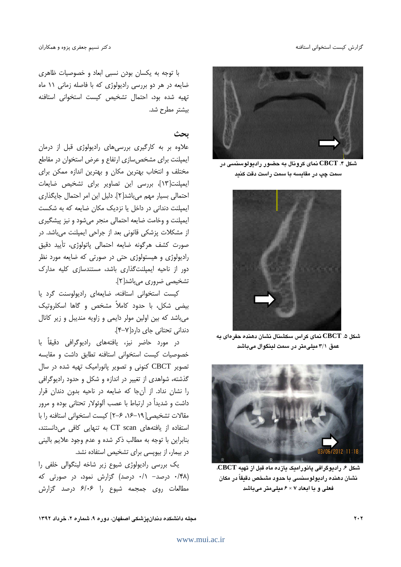

شکل ۴.  $\operatorname{CBCT}$  نمای کرونال به حضور رادیولوسنسی در سمت چپ در مقايسه با سمت راست دقت کنيد



شکل ۵. CBCT نمای کراس سکشنال نشان دهنده حفرهای به عمق ٣/١ ميلي متر در سمت لينگوال ميباشد



شکل ۶. رادیوگرافی یانورامیک یازده ماه قبل از تهیه CBCT، نشان دهنده رادپولوسنسی با حدود مشخص دقیقاً در مکان فعلی و با ابعاد ۶ × ۶ میلی متر میباشد

با توجه به یکسان بودن نسبی ابعاد و خصوصیات ظاهری ضایعه در هر دو بررسی رادیولوژی که با فاصله زمانی ١١ ماه تهيه شده بود، احتمال تشخيص كيست استخواني استافنه بيشتر مطرح شد.

## بحث

علاوه بر به کارگیری بررسیهای رادیولوژی قبل از درمان ایمیلنت برای مشخص سازی ارتفاع و عرض استخوان در مقاطع مختلف و انتخاب بهترین مکان و بهترین اندازه ممکن برای ايمپلنت[١٣]، بررسي اين تصاوير براي تشخيص ضايعات احتمالی بسیار مهم میباشد[۲]. دلیل این امر احتمال جایگذاری ایمپلنت دندانی در داخل یا نزدیک مکان ضایعه که به شکست ایمپلنت و وخامت ضایعه احتمالی منجر می شود و نیز پیشگیری از مشکلات پزشکی قانونی بعد از جراحی ایمیلنت می،باشد. در صورت كشف هرگونه ضايعه احتمالي پاتولوژي، تأييد دقيق رادیولوژی و هیستولوژی حتی در صورتی که ضایعه مورد نظر دور از ناحیه ایمیلنتگذاری باشد، مستندسازی کلیه مدارک تشخیصی ضروری میباشد[۲].

کیست استخوانی استافنه، ضایعهای رادیولوسنت گرد یا بیضی شکل، با حدود کاملاً مشخص و گاها اسکلروتیک میباشد که بین اولین مولر دایمی و زاویه مندیبل و زیر کانال دندانی تحتانی جای دارد[۷–۴].

در مورد حاضر نیز، یافتههای رادیوگرافی دقیقاً با خصوصیات کیست استخوانی استافنه تطابق داشت و مقایسه تصویر CBCT کنونی و تصویر پانورامیک تهیه شده در سال گذشته، شواهدی از تغییر در اندازه و شکل و حدود رادیوگرافی را نشان نداد. از آن جا كه ضايعه در ناحيه بدون دندان قرار داشت و شدیداً در ارتباط با عصب آلوئولار تحتانی بوده و مرور مقالات تشخیصی [١٩-١۶، ٢-٢] کیست استخوانی استافنه را با استفاده از یافتههای CT scan به تنهایی کافی میدانستند، بنابراین با توجه به مطالب ذکر شده و عدم وجود علایم بالینی در بیمار، از بیوپسی برای تشخیص استفاده نشد.

یک بررسی رادیولوژی شیوع زیر شاخه لینگوالی خلفی را (۰/۴۸ درصد- ۰/۱ درصد) گزارش نمود، در صورتی که مطالعات روى جمجمه شيوع را ۶/۰۶ درصد گزارش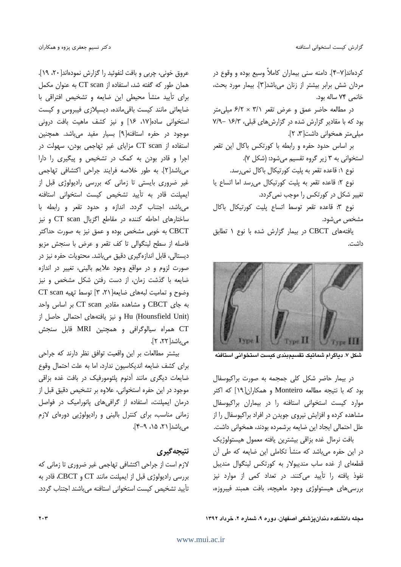کردهاند[۷–۴]. دامنه سنی بیماران کاملاً وسیع بوده و وقوع در مردان شش برابر بيشتر از زنان مى باشد[٣]. بيمار مورد بحث، خانمي ٧۴ ساله بود.

در مطالعه حاضر عمق و عرض تقعر ٣/١ × ٤/٢ ميلي متر بود که با مقادیر گزارش شده در گزارش های قبلی، ۱۶/۳ -۷/۹ میلی متر همخوانی داشت[۳، ۲].

بر اساس حدود حفره و رابطه با کورتکس باکال این تقعر استخواني به ٣ زير گروه تقسيم مي شود: (شكل ٧).

نوع ١: قاعده تقعر به پليت كورتيكال باكال نمى رسد.

نوع ٢: قاعده تقعر به پليت كورتيكال مى رسد اما اتساع يا تغییر شکل در کورتکس را موجب نمی گردد.

نوع ٣: قاعده تقعر توسط اتساع پليت كورتيكال باكال مشخص می شود.

یافتههای CBCT در بیمار گزارش شده با نوع ۱ تطابق داشت.



شكل ٧. دياگرام شماتيک تقسيمبندي كيست استخواني استافنه

در بیمار حاضر شکل کلی جمجمه به صورت براکیوسفال بود که با نتیجه مطالعه Monteiro و همکاران[۱۹] که اکثر موارد کیست استخوانی استافنه را در بیماران براکیوسفال مشاهده کرده و افزایش نیروی جویدن در افراد براکیوسفال را از علل احتمالي ايجاد اين ضايعه برشمرده بودند، همخواني داشت.

بافت نرمال غده بزاقى بيشترين يافته معمول هيستولوژيك در این حفره میباشد که منشأ تکاملی این ضایعه که طی آن قطعهای از غده ساب مندیبولار به کورتکس لینگوال مندیبل نفوذ یافته را تأیید میکنند. در تعداد کمی از موارد نیز بررسی های هیستولوژی وجود ماهیچه، بافت همبند فیبروزه،

عروق خوني، چربي و بافت لنفوئيد را گزارش نمودهاند[٢٠، ١٩]. همان طور که گفته شد، استفاده از CT scan به عنوان مکمل برای تأیید منشأ محیطی این ضایعه و تشخیص افتراقی با ضایعاتی مانند کیست باقی مانده، دیسپلازی فیبروس و کیست استخوانی ساده[۱۷، ۱۶] و نیز کشف ماهیت بافت درونی موجود در حفره استافنه[۹] بسیار مفید میباشد. همچنین استفاده از CT scan مزایای غیر تهاجمی بودن، سهولت در اجرا و قادر بودن به کمک در تشخیص و پیگیری را دارا میباشد[٢]. به طور خلاصه فرایند جراحی اکتشافی تهاجمی غیر ضروری بایستی تا زمانی که بررسی رادیولوژی قبل از ایمیلنت قادر به تأیید تشخیص کیست استخوانی استافنه می باشد، اجتناب گردد. اندازه و حدود تقعر و رابطه با ساختارهای احاطه کننده در مقاطع اگزیال CT scan و نیز CBCT به خوبی مشخص بوده و عمق نیز به صورت حداکثر فاصله از سطح لينگوالي تا كف تقعر و عرض با سنجش مزيو دیستالی، قابل اندازهگیری دقیق می باشد. محتویات حفره نیز در صورت لزوم و در مواقع وجود علايم باليني، تغيير در اندازه ضایعه با گذشت زمان، از دست رفتن شکل مشخص و نیز وضوح و تماميت لبههاى ضايعه[٢،٢١] توسط تهيه CT scan به جای CBCT و مشاهده مقادیر CT scan بر اساس واحد Hu (Hounsfield Unit) و نيز يافتههاى احتمالي حاصل از CT همراه سیالوگرافی و همچنین MRI قابل سنجش می باشد[۲۲، ۲].

بیشتر مطالعات بر این واقعیت توافق نظر دارند که جراحی برای کشف ضایعه اندیکاسیون ندارد، اما به علت احتمال وقوع ضایعات دیگری مانند آدنوم پلئومورفیک در بافت غده بزاقی موجود در این حفره استخوانی، علاوه بر تشخیص دقیق قبل از درمان ایمیلنت، استفاده از گرافی های یانورامیک در فواصل زمانی مناسب، برای کنترل بالینی و رادیولوژیی دورهای لازم می باشد ( ۲۱، ۱۵، ۹-۴).

## نتيجه گيري

لازم است از جراحی اکتشافی تهاجمی غیر ضروری تا زمانی که بررسی رادیولوژی قبل از ایمپلنت مانند CT و CBCT، قادر به تأييد تشخيص كيست استخواني استافنه مي باشند اجتناب گردد.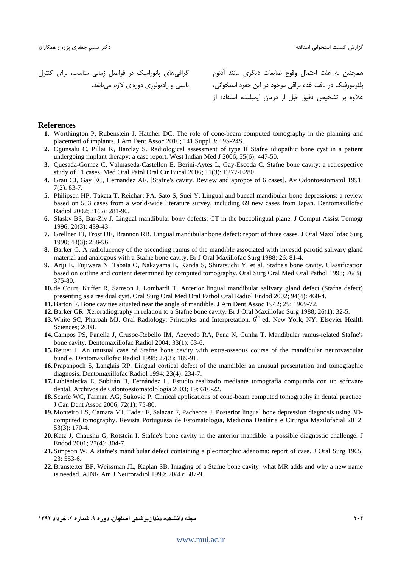گزارش كيست استخوانى استافنه

 C0# 4  -  /" 2 6 - 4 " 8. - e <\$ 45% \$ -% 4

همچنین به علت احتمال وقوع ضایعات دیگری مانند آدنوم پلئومورفيک در بافت غده بزاقي موجود در اين حفره استخواني، علاوه بر تشخيص دقيق قبل از درمان ايميلنت، استفاده از

#### **References**

- **1.** Worthington P, Rubenstein J, Hatcher DC. The role of cone-beam computed tomography in the planning and placement of implants. J Am Dent Assoc 2010; 141 Suppl 3: 19S-24S.
- **2.** Ogunsalu C, Pillai K, Barclay S. Radiological assessment of type II Stafne idiopathic bone cyst in a patient undergoing implant therapy: a case report. West Indian Med J 2006; 55(6): 447-50.
- **3.** Quesada-Gomez C, Valmaseda-Castellon E, Berini-Aytes L, Gay-Escoda C. Stafne bone cavity: a retrospective study of 11 cases. Med Oral Patol Oral Cir Bucal 2006; 11(3): E277-E280.
- **4.** Grau CJ, Gay EC, Hernandez AF. [Stafne's cavity. Review and apropos of 6 cases]. Av Odontoestomatol 1991; 7(2): 83-7.
- **5.** Philipsen HP, Takata T, Reichart PA, Sato S, Suei Y. Lingual and buccal mandibular bone depressions: a review based on 583 cases from a world-wide literature survey, including 69 new cases from Japan. Dentomaxillofac Radiol 2002; 31(5): 281-90.
- **6.** Slasky BS, Bar-Ziv J. Lingual mandibular bony defects: CT in the buccolingual plane. J Comput Assist Tomogr 1996; 20(3): 439-43.
- **7.** Grellner TJ, Frost DE, Brannon RB. Lingual mandibular bone defect: report of three cases. J Oral Maxillofac Surg 1990; 48(3): 288-96.
- **8.** Barker G. A radiolucency of the ascending ramus of the mandible associated with investid parotid salivary gland material and analogous with a Stafne bone cavity. Br J Oral Maxillofac Surg 1988; 26: 81-4.
- **9.** Ariji E, Fujiwara N, Tabata O, Nakayama E, Kanda S, Shiratsuchi Y, et al. Stafne's bone cavity. Classification based on outline and content determined by computed tomography. Oral Surg Oral Med Oral Pathol 1993; 76(3): 375-80.
- **10.** de Court, Kuffer R, Samson J, Lombardi T. Anterior lingual mandibular salivary gland defect (Stafne defect) presenting as a residual cyst. Oral Surg Oral Med Oral Pathol Oral Radiol Endod 2002; 94(4): 460-4.
- **11.**Barton F. Bone cavities situated near the angle of mandible. J Am Dent Assoc 1942; 29: 1969-72.
- **12.**Barker GR. Xeroradiography in relation to a Stafne bone cavity. Br J Oral Maxillofac Surg 1988; 26(1): 32-5.
- **13.** White SC, Pharoah MJ. Oral Radiology: Principles and Interpretation. 6<sup>th</sup> ed. New York, NY: Elsevier Health Sciences; 2008.
- **14.**Campos PS, Panella J, Crusoe-Rebello IM, Azevedo RA, Pena N, Cunha T. Mandibular ramus-related Stafne's bone cavity. Dentomaxillofac Radiol 2004; 33(1): 63-6.
- **15.**Reuter I. An unusual case of Stafne bone cavity with extra-osseous course of the mandibular neurovascular bundle. Dentomaxillofac Radiol 1998; 27(3): 189-91.
- **16.** Prapanpoch S, Langlais RP. Lingual cortical defect of the mandible: an unusual presentation and tomographic diagnosis. Dentomaxillofac Radiol 1994; 23(4): 234-7.
- **17.** Lubieniecka E, Subirán B, Fernández L. Estudio realizado mediante tomografía computada con un software dental. Archivos de Odontoestomatolología 2003; 19: 616-22.
- **18.** Scarfe WC, Farman AG, Sukovic P. Clinical applications of cone-beam computed tomography in dental practice. J Can Dent Assoc 2006; 72(1): 75-80.
- **19.** Monteiro LS, Camara MI, Tadeu F, Salazar F, Pachecoa J. Posterior lingual bone depression diagnosis using 3Dcomputed tomography. Revista Portuguesa de Estomatologia, Medicina Dentária e Cirurgia Maxilofacial 2012; 53(3): 170-4.
- **20.** Katz J, Chaushu G, Rotstein I. Stafne's bone cavity in the anterior mandible: a possible diagnostic challenge. J Endod 2001; 27(4): 304-7.
- **21.** Simpson W. A stafne's mandibular defect containing a pleomorphic adenoma: report of case. J Oral Surg 1965; 23: 553-6.
- **22.**Branstetter BF, Weissman JL, Kaplan SB. Imaging of a Stafne bone cavity: what MR adds and why a new name is needed. AJNR Am J Neuroradiol 1999; 20(4): 587-9.